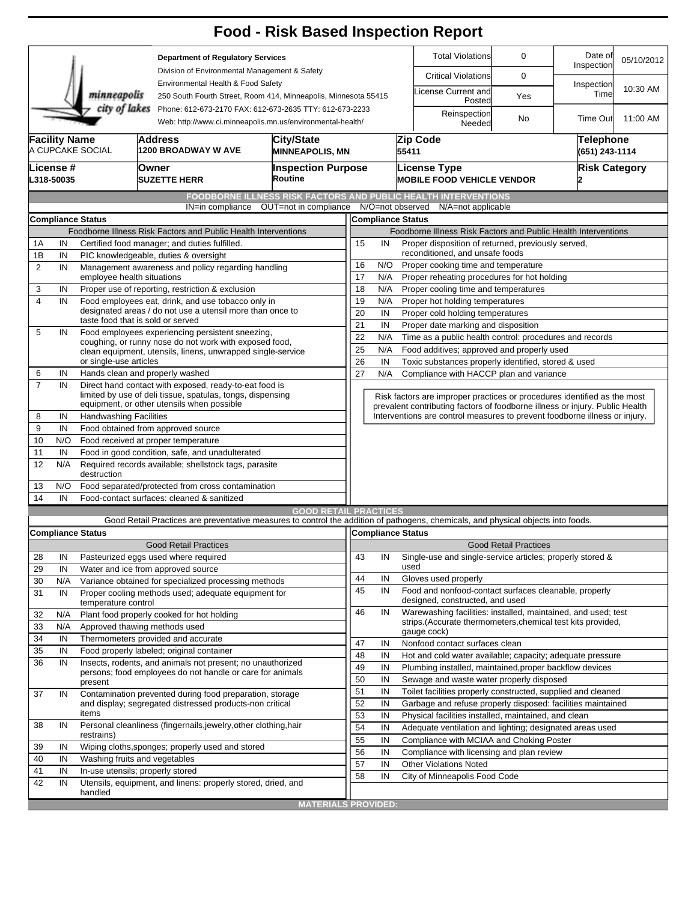|                                                                                                                                        |                                                          |                                                      |                                                                                                                      | <b>Food - Risk Based Inspection Report</b>                                                                                                             |                                                                                                                                                          |                                                                                             |                                                           |                                                                                                                               |                              |                             |            |  |  |
|----------------------------------------------------------------------------------------------------------------------------------------|----------------------------------------------------------|------------------------------------------------------|----------------------------------------------------------------------------------------------------------------------|--------------------------------------------------------------------------------------------------------------------------------------------------------|----------------------------------------------------------------------------------------------------------------------------------------------------------|---------------------------------------------------------------------------------------------|-----------------------------------------------------------|-------------------------------------------------------------------------------------------------------------------------------|------------------------------|-----------------------------|------------|--|--|
| <b>Department of Regulatory Services</b>                                                                                               |                                                          |                                                      |                                                                                                                      |                                                                                                                                                        |                                                                                                                                                          |                                                                                             |                                                           | <b>Total Violations</b><br>0                                                                                                  |                              | Date of<br>Inspection       | 05/10/2012 |  |  |
|                                                                                                                                        |                                                          |                                                      |                                                                                                                      | Division of Environmental Management & Safety<br>Environmental Health & Food Safety<br>250 South Fourth Street, Room 414, Minneapolis, Minnesota 55415 |                                                                                                                                                          |                                                                                             |                                                           | <b>Critical Violations</b>                                                                                                    | 0                            |                             |            |  |  |
|                                                                                                                                        |                                                          | minneapolis                                          |                                                                                                                      |                                                                                                                                                        |                                                                                                                                                          |                                                                                             |                                                           | icense Current and<br>Posted                                                                                                  | Yes                          | Inspection<br>Time          | 10:30 AM   |  |  |
| city of lakes<br>Phone: 612-673-2170 FAX: 612-673-2635 TTY: 612-673-2233<br>Web: http://www.ci.minneapolis.mn.us/environmental-health/ |                                                          |                                                      |                                                                                                                      |                                                                                                                                                        |                                                                                                                                                          |                                                                                             |                                                           | Reinspection<br>Needed                                                                                                        | No                           | <b>Time Out</b>             | 11:00 AM   |  |  |
|                                                                                                                                        | <b>Facility Name</b>                                     | A CUPCAKE SOCIAL                                     | Address<br>1200 BROADWAY W AVE                                                                                       | <b>City/State</b>                                                                                                                                      | <b>MINNEAPOLIS, MN</b>                                                                                                                                   |                                                                                             | 55411                                                     | Zip Code                                                                                                                      |                              | Telephone<br>(651) 243-1114 |            |  |  |
|                                                                                                                                        |                                                          |                                                      |                                                                                                                      |                                                                                                                                                        |                                                                                                                                                          |                                                                                             |                                                           |                                                                                                                               |                              |                             |            |  |  |
|                                                                                                                                        | License #<br>L318-50035                                  |                                                      | Owner<br><b>SUZETTE HERR</b>                                                                                         | <b>Inspection Purpose</b><br>Routine                                                                                                                   |                                                                                                                                                          |                                                                                             |                                                           | License Type<br><b>MOBILE FOOD VEHICLE VENDOR</b>                                                                             |                              | <b>Risk Category</b>        |            |  |  |
|                                                                                                                                        |                                                          |                                                      |                                                                                                                      | <b>FOODBORNE ILLNESS RISK FACTORS AND PUBLIC HEALTH INTERVENTIONS</b>                                                                                  |                                                                                                                                                          |                                                                                             |                                                           |                                                                                                                               |                              |                             |            |  |  |
|                                                                                                                                        |                                                          |                                                      | IN=in compliance                                                                                                     | OUT=not in compliance                                                                                                                                  |                                                                                                                                                          | N/O=not observed                                                                            |                                                           | N/A=not applicable                                                                                                            |                              |                             |            |  |  |
|                                                                                                                                        |                                                          | <b>Compliance Status</b>                             |                                                                                                                      |                                                                                                                                                        |                                                                                                                                                          | <b>Compliance Status</b>                                                                    |                                                           |                                                                                                                               |                              |                             |            |  |  |
|                                                                                                                                        |                                                          |                                                      | Foodborne Illness Risk Factors and Public Health Interventions                                                       |                                                                                                                                                        | Foodborne Illness Risk Factors and Public Health Interventions                                                                                           |                                                                                             |                                                           |                                                                                                                               |                              |                             |            |  |  |
| 1Α                                                                                                                                     | IN                                                       |                                                      | Certified food manager; and duties fulfilled.                                                                        |                                                                                                                                                        | Proper disposition of returned, previously served,<br>15<br>IN                                                                                           |                                                                                             |                                                           |                                                                                                                               |                              |                             |            |  |  |
| 1B                                                                                                                                     | IN                                                       |                                                      | PIC knowledgeable, duties & oversight                                                                                |                                                                                                                                                        | reconditioned, and unsafe foods                                                                                                                          |                                                                                             |                                                           |                                                                                                                               |                              |                             |            |  |  |
| $\overline{2}$                                                                                                                         | IN                                                       | employee health situations                           | Management awareness and policy regarding handling                                                                   |                                                                                                                                                        | 16<br>N/O<br>Proper cooking time and temperature                                                                                                         |                                                                                             |                                                           |                                                                                                                               |                              |                             |            |  |  |
| 3                                                                                                                                      | IN                                                       |                                                      | Proper use of reporting, restriction & exclusion                                                                     | 17<br>N/A<br>Proper reheating procedures for hot holding                                                                                               |                                                                                                                                                          |                                                                                             |                                                           |                                                                                                                               |                              |                             |            |  |  |
| $\overline{\mathbf{4}}$                                                                                                                | IN                                                       |                                                      | Food employees eat, drink, and use tobacco only in                                                                   |                                                                                                                                                        | 19                                                                                                                                                       | 18<br>N/A<br>Proper cooling time and temperatures<br>N/A<br>Proper hot holding temperatures |                                                           |                                                                                                                               |                              |                             |            |  |  |
|                                                                                                                                        |                                                          |                                                      | designated areas / do not use a utensil more than once to                                                            | 20<br>IN<br>Proper cold holding temperatures                                                                                                           |                                                                                                                                                          |                                                                                             |                                                           |                                                                                                                               |                              |                             |            |  |  |
|                                                                                                                                        |                                                          |                                                      | taste food that is sold or served                                                                                    | 21                                                                                                                                                     | IN<br>Proper date marking and disposition                                                                                                                |                                                                                             |                                                           |                                                                                                                               |                              |                             |            |  |  |
| 5                                                                                                                                      | IN                                                       |                                                      | Food employees experiencing persistent sneezing,                                                                     | 22<br>N/A<br>Time as a public health control: procedures and records                                                                                   |                                                                                                                                                          |                                                                                             |                                                           |                                                                                                                               |                              |                             |            |  |  |
|                                                                                                                                        |                                                          |                                                      | coughing, or runny nose do not work with exposed food,                                                               | 25                                                                                                                                                     | N/A<br>Food additives; approved and properly used                                                                                                        |                                                                                             |                                                           |                                                                                                                               |                              |                             |            |  |  |
|                                                                                                                                        |                                                          | or single-use articles                               | clean equipment, utensils, linens, unwrapped single-service                                                          |                                                                                                                                                        |                                                                                                                                                          | 26<br>IN<br>Toxic substances properly identified, stored & used                             |                                                           |                                                                                                                               |                              |                             |            |  |  |
| 6                                                                                                                                      | IN                                                       |                                                      | Hands clean and properly washed                                                                                      |                                                                                                                                                        | 27                                                                                                                                                       | N/A<br>Compliance with HACCP plan and variance                                              |                                                           |                                                                                                                               |                              |                             |            |  |  |
| $\overline{7}$                                                                                                                         | IN                                                       |                                                      | Direct hand contact with exposed, ready-to-eat food is<br>limited by use of deli tissue, spatulas, tongs, dispensing |                                                                                                                                                        |                                                                                                                                                          |                                                                                             |                                                           |                                                                                                                               |                              |                             |            |  |  |
|                                                                                                                                        |                                                          |                                                      | equipment, or other utensils when possible                                                                           |                                                                                                                                                        | Risk factors are improper practices or procedures identified as the most<br>prevalent contributing factors of foodborne illness or injury. Public Health |                                                                                             |                                                           |                                                                                                                               |                              |                             |            |  |  |
| 8                                                                                                                                      | IN                                                       | <b>Handwashing Facilities</b>                        |                                                                                                                      |                                                                                                                                                        |                                                                                                                                                          |                                                                                             |                                                           | Interventions are control measures to prevent foodborne illness or injury.                                                    |                              |                             |            |  |  |
| 9                                                                                                                                      | IN                                                       |                                                      | Food obtained from approved source                                                                                   |                                                                                                                                                        |                                                                                                                                                          |                                                                                             |                                                           |                                                                                                                               |                              |                             |            |  |  |
| 10                                                                                                                                     | N/O                                                      |                                                      | Food received at proper temperature                                                                                  |                                                                                                                                                        |                                                                                                                                                          |                                                                                             |                                                           |                                                                                                                               |                              |                             |            |  |  |
| 11                                                                                                                                     | IN<br>Food in good condition, safe, and unadulterated    |                                                      |                                                                                                                      |                                                                                                                                                        |                                                                                                                                                          |                                                                                             |                                                           |                                                                                                                               |                              |                             |            |  |  |
| 12                                                                                                                                     | N/A                                                      | destruction                                          | Required records available; shellstock tags, parasite                                                                |                                                                                                                                                        |                                                                                                                                                          |                                                                                             |                                                           |                                                                                                                               |                              |                             |            |  |  |
| 13                                                                                                                                     | N/O<br>Food separated/protected from cross contamination |                                                      |                                                                                                                      |                                                                                                                                                        |                                                                                                                                                          |                                                                                             |                                                           |                                                                                                                               |                              |                             |            |  |  |
| 14                                                                                                                                     | IN                                                       |                                                      | Food-contact surfaces: cleaned & sanitized                                                                           |                                                                                                                                                        |                                                                                                                                                          |                                                                                             |                                                           |                                                                                                                               |                              |                             |            |  |  |
|                                                                                                                                        |                                                          |                                                      |                                                                                                                      | <b>GOOD RETAIL PRACTICES</b>                                                                                                                           |                                                                                                                                                          |                                                                                             |                                                           |                                                                                                                               |                              |                             |            |  |  |
|                                                                                                                                        |                                                          |                                                      |                                                                                                                      | Good Retail Practices are preventative measures to control the addition of pathogens, chemicals, and physical objects into foods.                      |                                                                                                                                                          |                                                                                             |                                                           |                                                                                                                               |                              |                             |            |  |  |
|                                                                                                                                        |                                                          | <b>Compliance Status</b>                             |                                                                                                                      |                                                                                                                                                        |                                                                                                                                                          |                                                                                             |                                                           | Compliance Status                                                                                                             |                              |                             |            |  |  |
|                                                                                                                                        |                                                          |                                                      | <b>Good Retail Practices</b>                                                                                         |                                                                                                                                                        |                                                                                                                                                          |                                                                                             |                                                           |                                                                                                                               | <b>Good Retail Practices</b> |                             |            |  |  |
| 28                                                                                                                                     | IN                                                       |                                                      | Pasteurized eggs used where required                                                                                 |                                                                                                                                                        | 43                                                                                                                                                       | IN                                                                                          |                                                           | Single-use and single-service articles; properly stored &                                                                     |                              |                             |            |  |  |
| 29                                                                                                                                     | IN                                                       |                                                      | Water and ice from approved source                                                                                   |                                                                                                                                                        | 44                                                                                                                                                       |                                                                                             | used                                                      |                                                                                                                               |                              |                             |            |  |  |
| 30                                                                                                                                     | N/A                                                      | Variance obtained for specialized processing methods |                                                                                                                      |                                                                                                                                                        |                                                                                                                                                          | IN                                                                                          |                                                           | Gloves used properly                                                                                                          |                              |                             |            |  |  |
| 31                                                                                                                                     | IN                                                       | temperature control                                  | Proper cooling methods used; adequate equipment for                                                                  |                                                                                                                                                        | 45                                                                                                                                                       | IN                                                                                          |                                                           | Food and nonfood-contact surfaces cleanable, properly<br>designed, constructed, and used                                      |                              |                             |            |  |  |
| 32                                                                                                                                     | N/A                                                      |                                                      | Plant food properly cooked for hot holding                                                                           |                                                                                                                                                        | 46                                                                                                                                                       | IN                                                                                          |                                                           | Warewashing facilities: installed, maintained, and used; test<br>strips. (Accurate thermometers, chemical test kits provided, |                              |                             |            |  |  |
| 33                                                                                                                                     | N/A                                                      |                                                      | Approved thawing methods used                                                                                        |                                                                                                                                                        |                                                                                                                                                          |                                                                                             |                                                           | gauge cock)                                                                                                                   |                              |                             |            |  |  |
| 34                                                                                                                                     | IN                                                       |                                                      | Thermometers provided and accurate                                                                                   |                                                                                                                                                        | 47                                                                                                                                                       | IN                                                                                          |                                                           | Nonfood contact surfaces clean                                                                                                |                              |                             |            |  |  |
| 35                                                                                                                                     | IN                                                       |                                                      | Food properly labeled; original container                                                                            |                                                                                                                                                        | 48                                                                                                                                                       | IN                                                                                          | Hot and cold water available; capacity; adequate pressure |                                                                                                                               |                              |                             |            |  |  |
| 36                                                                                                                                     | IN                                                       |                                                      | Insects, rodents, and animals not present; no unauthorized                                                           |                                                                                                                                                        | 49                                                                                                                                                       | IN                                                                                          |                                                           | Plumbing installed, maintained, proper backflow devices                                                                       |                              |                             |            |  |  |
|                                                                                                                                        |                                                          | present                                              | persons; food employees do not handle or care for animals                                                            | 50                                                                                                                                                     | IN                                                                                                                                                       |                                                                                             | Sewage and waste water properly disposed                  |                                                                                                                               |                              |                             |            |  |  |
| 37                                                                                                                                     | IN                                                       |                                                      | Contamination prevented during food preparation, storage                                                             |                                                                                                                                                        | 51                                                                                                                                                       | IN                                                                                          |                                                           | Toilet facilities properly constructed, supplied and cleaned                                                                  |                              |                             |            |  |  |
|                                                                                                                                        |                                                          |                                                      | and display; segregated distressed products-non critical                                                             |                                                                                                                                                        | 52                                                                                                                                                       | IN<br>Garbage and refuse properly disposed: facilities maintained                           |                                                           |                                                                                                                               |                              |                             |            |  |  |
|                                                                                                                                        |                                                          | items                                                |                                                                                                                      |                                                                                                                                                        | 53                                                                                                                                                       | IN                                                                                          |                                                           | Physical facilities installed, maintained, and clean                                                                          |                              |                             |            |  |  |
| 38                                                                                                                                     | IN                                                       |                                                      | Personal cleanliness (fingernails, jewelry, other clothing, hair                                                     |                                                                                                                                                        | 54                                                                                                                                                       | IN                                                                                          |                                                           | Adequate ventilation and lighting; designated areas used                                                                      |                              |                             |            |  |  |
|                                                                                                                                        |                                                          | restrains)                                           |                                                                                                                      |                                                                                                                                                        | 55                                                                                                                                                       | IN                                                                                          |                                                           | Compliance with MCIAA and Choking Poster                                                                                      |                              |                             |            |  |  |
| 39                                                                                                                                     | IN                                                       |                                                      | Wiping cloths, sponges; properly used and stored                                                                     |                                                                                                                                                        | 56                                                                                                                                                       | IN                                                                                          |                                                           | Compliance with licensing and plan review                                                                                     |                              |                             |            |  |  |
| 40                                                                                                                                     | IN                                                       |                                                      | Washing fruits and vegetables                                                                                        |                                                                                                                                                        | 57                                                                                                                                                       | IN                                                                                          |                                                           | <b>Other Violations Noted</b>                                                                                                 |                              |                             |            |  |  |
| 41                                                                                                                                     | IN                                                       |                                                      | In-use utensils; properly stored                                                                                     |                                                                                                                                                        | 58                                                                                                                                                       | IN                                                                                          |                                                           | City of Minneapolis Food Code                                                                                                 |                              |                             |            |  |  |
| 42                                                                                                                                     | IN                                                       |                                                      | Utensils, equipment, and linens: properly stored, dried, and                                                         |                                                                                                                                                        |                                                                                                                                                          |                                                                                             |                                                           |                                                                                                                               |                              |                             |            |  |  |
|                                                                                                                                        |                                                          | handled                                              |                                                                                                                      |                                                                                                                                                        |                                                                                                                                                          |                                                                                             |                                                           |                                                                                                                               |                              |                             |            |  |  |
|                                                                                                                                        |                                                          |                                                      |                                                                                                                      | <b>MATERIALS PROVIDED:</b>                                                                                                                             |                                                                                                                                                          |                                                                                             |                                                           |                                                                                                                               |                              |                             |            |  |  |